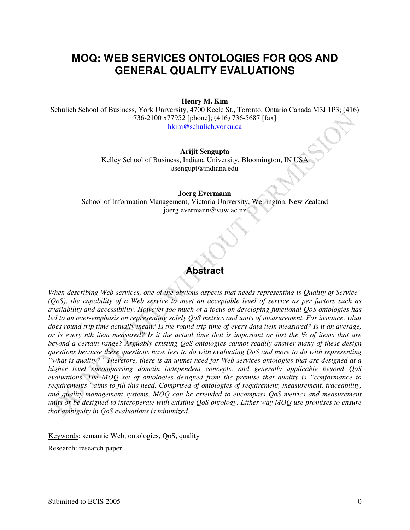# **MOQ: WEB SERVICES ONTOLOGIES FOR QOS AND GENERAL QUALITY EVALUATIONS**

**Henry M. Kim**

Schulich School of Business, York University, 4700 Keele St., Toronto, Ontario Canada M3J 1P3; (416) 736-2100 x77952 [phone]; (416) 736-5687 [fax] hkim@schulich.yorku.ca

**Arijit Sengupta**

Kelley School of Business, Indiana University, Bloomington, IN US asengupt@indiana.edu

**Joerg Evermann** School of Information Management, Victoria University, Wellington, New Zealand joerg.evermann@vuw.ac.nz



*When describing Web services, one of the obvious aspects that needs representing is Quality of Service"* (QoS), the capability of a Web service to meet an acceptable level of service as per factors such as *availability and accessibility. However too much of a focus on developing functional QoS ontologies has led to an over-emphasis on representing solely QoS metrics and units of measurement. For instance, what* does round trip time actually mean? Is the round trip time of every data item measured? Is it an average, or is every nth item measured? Is it the actual time that is important or just the % of items that are *beyond a certain range? Arguably existing QoS ontologies cannot readily answer many of these design questions because these questions have less to do with evaluating QoS and more to do with representing* "what is quality?" Therefore, there is an unmet need for Web services ontologies that are designed at a *higher level encompassing domain independent concepts, and generally applicable beyond QoS evaluations. The MOQ set of ontologies designed from the premise that quality is "conformance to requirements" aims to fill this need. Comprised of ontologies of requirement, measurement, traceability, and quality management systems, MOQ can be extended to encompass QoS metrics and measurement units or be designed to interoperate with existing QoS ontology. Either way MOQ use promises to ensure that ambiguity in QoS evaluations is minimized.*

Keywords: semantic Web, ontologies, QoS, quality

Research: research paper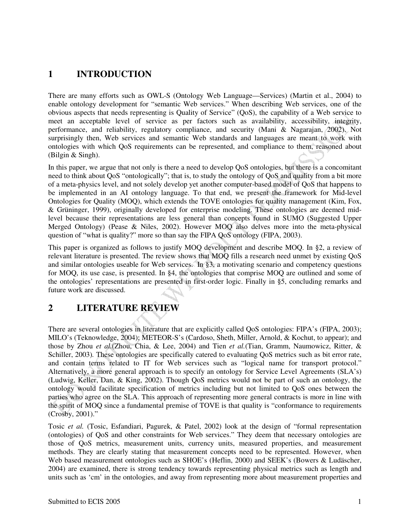### **1 INTRODUCTION**

There are many efforts such as OWL-S (Ontology Web Language—Services) (Martin et al., 2004) to enable ontology development for "semantic Web services." When describing Web services, one of the obvious aspects that needs representing is Quality of Service" (QoS), the capability of a Web service to meet an acceptable level of service as per factors such as availability, accessibility, integrity, performance, and reliability, regulatory compliance, and security (Mani & Nagarajan, 2002). Not surprisingly then, Web services and semantic Web standards and languages are meant to work with ontologies with which QoS requirements can be represented, and compliance to them, reasoned about (Bilgin & Singh).

In this paper, we argue that not only is there a need to develop QoS ontologies, but there is a concomitant need to think about QoS "ontologically"; that is, to study the ontology of QoS and quality from a bit more of a meta-physics level, and not solely develop yet another computer-based model of QoS that happens to be implemented in an AI ontology language. To that end, we present the framework for Mid-level Ontologies for Quality (MOQ), which extends the TOVE ontologies for quality management (Kim, Fox, & Grüninger, 1999), originally developed for enterprise modeling. These ontologies are deemed midlevel because their representations are less general than concepts found in SUMO (Suggested Upper Merged Ontology) (Pease & Niles, 2002). However MOQ also delves more into the meta-physical question of "what is quality?" more so than say the FIPA QoS ontology (FIPA, 2003).

This paper is organized as follows to justify MOQ development and describe MOQ. In §2, a review of relevant literature is presented. The review shows that MOQ fills a research need unmet by existing QoS and similar ontologies useable for Web services. In §3, a motivating scenario and competency questions for MOQ, its use case, is presented. In §4, the ontologies that comprise MOQ are outlined and some of the ontologies' representations are presented in first-order logic. Finally in §5, concluding remarks and future work are discussed.

## **2 LITERATURE REVIEW**

There are several ontologies in literature that are explicitly called QoS ontologies: FIPA's (FIPA, 2003); MILO's (Teknowledge, 2004); METEOR-S's (Cardoso, Sheth, Miller, Arnold, & Kochut, to appear); and those by Zhou *et al.*(Zhou, Chia, & Lee, 2004) and Tien *et al.*(Tian, Gramm, Naumowicz, Ritter, & Schiller, 2003)*.* These ontologies are specifically catered to evaluating QoS metrics such as bit error rate, and contain terms related to IT for Web services such as "logical name for transport protocol." Alternatively, a more general approach is to specify an ontology for Service Level Agreements (SLA's) (Ludwig, Keller, Dan, & King, 2002). Though QoS metrics would not be part of such an ontology, the ontology would facilitate specification of metrics including but not limited to QoS ones between the parties who agree on the SLA. This approach of representing more general contracts is more in line with the spirit of MOQ since a fundamental premise of TOVE is that quality is "conformance to requirements (Crosby, 2001)."

Tosic *et al.* (Tosic, Esfandiari, Pagurek, & Patel, 2002) look at the design of "formal representation (ontologies) of QoS and other constraints for Web services." They deem that necessary ontologies are those of QoS metrics, measurement units, currency units, measured properties, and measurement methods. They are clearly stating that measurement concepts need to be represented. However, when Web based measurement ontologies such as SHOE's (Heflin, 2000) and SEEK's (Bowers & Ludäscher, 2004) are examined, there is strong tendency towards representing physical metrics such as length and units such as 'cm' in the ontologies, and away from representing more about measurement properties and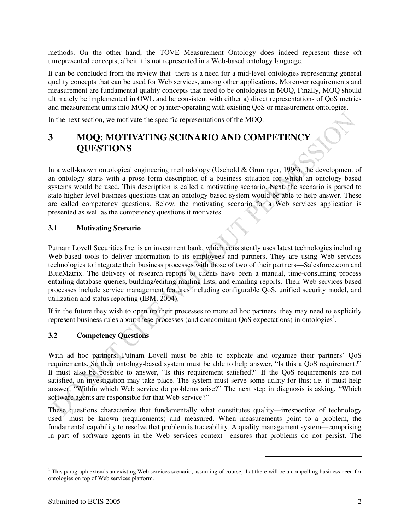methods. On the other hand, the TOVE Measurement Ontology does indeed represent these oft unrepresented concepts, albeit it is not represented in a Web-based ontology language.

It can be concluded from the review that there is a need for a mid-level ontologies representing general quality concepts that can be used for Web services, among other applications, Moreover requirements and measurement are fundamental quality concepts that need to be ontologies in MOQ, Finally, MOQ should ultimately be implemented in OWL and be consistent with either a) direct representations of QoS metrics and measurement units into MOQ or b) inter-operating with existing QoS or measurement ontologies.

In the next section, we motivate the specific representations of the MOQ.

### **3 MOQ: MOTIVATING SCENARIO AND COMPETENCY QUESTIONS**

In a well-known ontological engineering methodology (Uschold & Gruninger, 1996), the development of an ontology starts with a prose form description of a business situation for which an ontology based systems would be used. This description is called a motivating scenario. Next, the scenario is parsed to state higher level business questions that an ontology based system would be able to help answer. These are called competency questions. Below, the motivating scenario for a Web services application is presented as well as the competency questions it motivates.

#### **3.1 Motivating Scenario**

Putnam Lovell Securities Inc. is an investment bank, which consistently uses latest technologies including Web-based tools to deliver information to its employees and partners. They are using Web services technologies to integrate their business processes with those of two of their partners—Salesforce.com and BlueMatrix. The delivery of research reports to clients have been a manual, time-consuming process entailing database queries, building/editing mailing lists, and emailing reports. Their Web services based processes include service management features including configurable QoS, unified security model, and utilization and status reporting (IBM, 2004).

If in the future they wish to open up their processes to more ad hoc partners, they may need to explicitly represent business rules about these processes (and concomitant QoS expectations) in ontologies<sup>1</sup>.

### **3.2 Competency Questions**

With ad hoc partners, Putnam Lovell must be able to explicate and organize their partners' QoS requirements. So their ontology-based system must be able to help answer, "Is this a QoS requirement?" It must also be possible to answer, "Is this requirement satisfied?" If the QoS requirements are not satisfied, an investigation may take place. The system must serve some utility for this; i.e. it must help answer, "Within which Web service do problems arise?" The next step in diagnosis is asking, "Which software agents are responsible for that Web service?"

These questions characterize that fundamentally what constitutes quality—irrespective of technology used—must be known (requirements) and measured. When measurements point to a problem, the fundamental capability to resolve that problem is traceability. A quality management system—comprising in part of software agents in the Web services context—ensures that problems do not persist. The

 $1$  This paragraph extends an existing Web services scenario, assuming of course, that there will be a compelling business need for ontologies on top of Web services platform.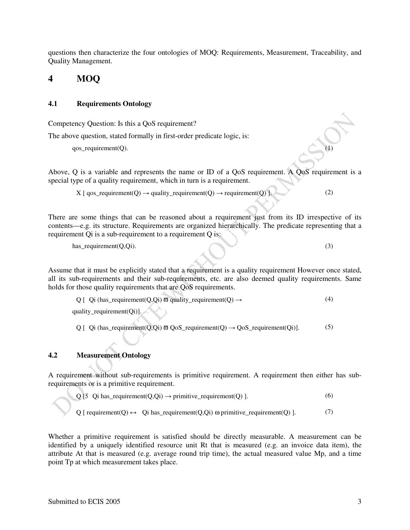questions then characterize the four ontologies of MOQ: Requirements, Measurement, Traceability, and Quality Management.

### **4 MOQ**

#### **4.1 Requirements Ontology**

Competency Question: Is this a QoS requirement?

The above question, stated formally in first-order predicate logic, is:

qos requirement $(Q)$ .

Above, Q is a variable and represents the name or ID of a QoS requirement. A QoS requirement is a special type of a quality requirement, which in turn is a requirement.

 $X \mid \text{gos requirement}(Q) \rightarrow \text{quality requirement}(Q) \rightarrow \text{requirement}(Q)$  (2)

There are some things that can be reasoned about a requirement just from its ID irrespective of its contents—e.g. its structure. Requirements are organized hierarchically. The predicate representing that a requirement Qi is a sub-requirement to a requirement Q is:

has requirement( $Q$ , $Q$ i). (3)

Assume that it must be explicitly stated that a requirement is a quality requirement However once stated, all its sub-requirements and their sub-requirements, etc. are also deemed quality requirements. Same holds for those quality requirements that are QoS requirements.

Q [ Qi (has\_requirement(Q,Qi)  $\overline{\omega}$  quality\_requirement(Q)  $\rightarrow$ (4)

quality\_requirement(Qi)].

 $Q$  [ Qi (has\_requirement( $Q$ , $Q$ i)  $\overline{\omega}$  QoS\_requirement( $Q$ )  $\rightarrow$  QoS\_requirement( $Q$ i)]. (5)

#### **4.2 Measurement Ontology**

A requirement without sub-requirements is primitive requirement. A requirement then either has subrequirements or is a primitive requirement.

$$
Q [5 Qi has\_requirement(Q, Qi) \rightarrow primitive\_requirement(Q)].
$$
\n(6)

 $Q$  [ requirement( $Q$ )  $\leftrightarrow$  Qi has\_requirement( $Q$ , $Q$ i)  $\omega$  primitive\_requirement( $Q$ ) ]. (7)

Whether a primitive requirement is satisfied should be directly measurable. A measurement can be identified by a uniquely identified resource unit Rt that is measured (e.g. an invoice data item), the attribute At that is measured (e.g. average round trip time), the actual measured value Mp, and a time point Tp at which measurement takes place.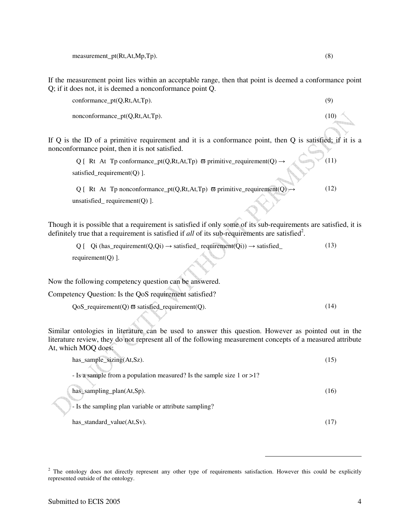If the measurement point lies within an acceptable range, then that point is deemed a conformance point Q; if it does not, it is deemed a nonconformance point Q.

 $conformance_p t(Q, R_t, At, T_p).$  (9)

 $nonconformance_p t(Q, R t, At, T p).$  (10)

If Q is the ID of a primitive requirement and it is a conformance point, then Q is satisfied; if it is a nonconformance point, then it is not satisfied.

 $Q$  [ Rt At Tp conformance\_pt( $Q, Rt, At, Tp$ )  $\sigma$  primitive\_requirement( $Q$ ) satisfied requirement $(Q)$ ].  $(11)$ 

Q [ Rt At Tp nonconformance  $pt(Q, Rt, At, Tp)$   $\overline{\omega}$  primitive requirement(Q) unsatisfied\_ requirement(Q) ]. (12)

Though it is possible that a requirement is satisfied if only some of its sub-requirements are satisfied, it is definitely true that a requirement is satisfied if all of its sub-requirements are satisfied<sup>2</sup>.

 $Q$  [ Qi (has\_requirement(Q,Qi)  $\rightarrow$  satisfied\_ requirement(Qi))  $\rightarrow$  satisfied\_ requirement $(Q)$ ]. (13)

Now the following competency question can be answered.

Competency Question: Is the QoS requirement satisfied?

```
QoS<sub>requirement(Q)</sub> \overline{\omega} satisfied_requirement(Q). (14)
```
Similar ontologies in literature can be used to answer this question. However as pointed out in the literature review, they do not represent all of the following measurement concepts of a measured attribute At, which MOQ does:

| has_sample_sizing(At,Sz). | (15) |
|---------------------------|------|
|---------------------------|------|

- Is a sample from a population measured? Is the sample size 1 or >1?

| has_sampling_plan(At,Sp). | (16) |
|---------------------------|------|
|                           |      |

- Is the sampling plan variable or attribute sampling?

has standard value( $At, Sv$ ). (17)

<sup>&</sup>lt;sup>2</sup> The ontology does not directly represent any other type of requirements satisfaction. However this could be explicitly represented outside of the ontology.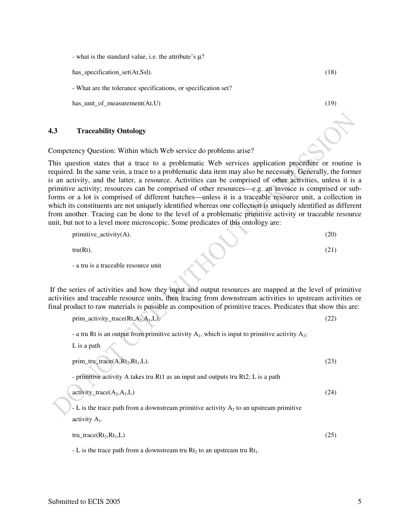- what is the standard value, i.e. the attribute's  $\mu$ ?

has specification set(At,Ssl).

- What are the tolerance specifications, or specification set?

has\_unit\_of\_measurement(At,U) (19) (19)

#### **4.3 Traceability Ontology**

Competency Question: Within which Web service do problems arise?

This question states that a trace to a problematic Web services application procedure or routine is required. In the same vein, a trace to a problematic data item may also be necessary. Generally, the former is an activity, and the latter, a resource. Activities can be comprised of other activities, unless it is a primitive activity; resources can be comprised of other resources—e.g. an invoice is comprised or subforms or a lot is comprised of different batches—unless it is a traceable resource unit, a collection in which its constituents are not uniquely identified whereas one collection is uniquely identified as different from another. Tracing can be done to the level of a problematic primitive activity or traceable resource unit, but not to a level more microscopic. Some predicates of this ontology are:

| primitive_activity(A). | (20) |
|------------------------|------|
| $tru(Rt)$ .            | (21) |

- a tru is a traceable resource unit

If the series of activities and how they input and output resources are mapped at the level of primitive activities and traceable resource units, then tracing from downstream activities to upstream activities or final product to raw materials is possible as composition of primitive traces. Predicates that show this are:

|  | prim_activity_trace(Rt, $A_2$ , $A_1$ ,L). | (22) |
|--|--------------------------------------------|------|
|  |                                            |      |

- a tru Rt is an output from primitive activity  $A_1$ , which is input to primitive activity  $A_2$ ;

L is a path

$$
prim\_tru\_trace(A, Rt_1, L). \tag{23}
$$

- primitive activity A takes tru Rt1 as an input and outputs tru Rt2; L is a path

$$
activity\_trace(A_2, A_1, L) \tag{24}
$$

- L is the trace path from a downstream primitive activity  $A_2$  to an upstream primitive activity A<sub>1</sub>.

tru trace( $Rt_2, Rt_1, L$ ) (25)

- L is the trace path from a downstream tru Rt<sub>2</sub> to an upstream tru Rt<sub>1</sub>.

(18)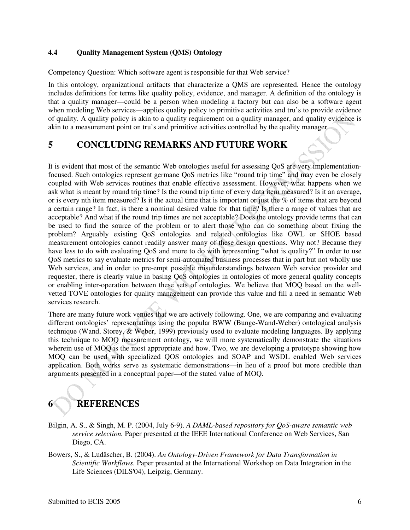#### **4.4 Quality Management System (QMS) Ontology**

Competency Question: Which software agent is responsible for that Web service?

In this ontology, organizational artifacts that characterize a QMS are represented. Hence the ontology includes definitions for terms like quality policy, evidence, and manager. A definition of the ontology is that a quality manager—could be a person when modeling a factory but can also be a software agent when modeling Web services—applies quality policy to primitive activities and tru's to provide evidence of quality. A quality policy is akin to a quality requirement on a quality manager, and quality evidence is akin to a measurement point on tru's and primitive activities controlled by the quality manager.

### **5 CONCLUDING REMARKS AND FUTURE WORK**

It is evident that most of the semantic Web ontologies useful for assessing QoS are very implementationfocused. Such ontologies represent germane QoS metrics like "round trip time" and may even be closely coupled with Web services routines that enable effective assessment. However, what happens when we ask what is meant by round trip time? Is the round trip time of every data item measured? Is it an average, or is every nth item measured? Is it the actual time that is important or just the % of items that are beyond a certain range? In fact, is there a nominal desired value for that time? Is there a range of values that are acceptable? And what if the round trip times are not acceptable? Does the ontology provide terms that can be used to find the source of the problem or to alert those who can do something about fixing the problem? Arguably existing QoS ontologies and related ontologies like OWL or SHOE based measurement ontologies cannot readily answer many of these design questions. Why not? Because they have less to do with evaluating QoS and more to do with representing "what is quality?" In order to use QoS metrics to say evaluate metrics for semi-automated business processes that in part but not wholly use Web services, and in order to pre-empt possible misunderstandings between Web service provider and requester, there is clearly value in basing QoS ontologies in ontologies of more general quality concepts or enabling inter-operation between these sets of ontologies. We believe that MOQ based on the wellvetted TOVE ontologies for quality management can provide this value and fill a need in semantic Web services research.

There are many future work venues that we are actively following. One, we are comparing and evaluating different ontologies' representations using the popular BWW (Bunge-Wand-Weber) ontological analysis technique (Wand, Storey, & Weber, 1999) previously used to evaluate modeling languages. By applying this technique to MOQ measurement ontology, we will more systematically demonstrate the situations wherein use of MOO is the most appropriate and how. Two, we are developing a prototype showing how MOQ can be used with specialized QOS ontologies and SOAP and WSDL enabled Web services application. Both works serve as systematic demonstrations—in lieu of a proof but more credible than arguments presented in a conceptual paper—of the stated value of MOQ.

# **6 REFERENCES**

- Bilgin, A. S., & Singh, M. P. (2004, July 6-9). *A DAML-based repository for QoS-aware semantic web service selection.* Paper presented at the IEEE International Conference on Web Services, San Diego, CA.
- Bowers, S., & Ludäscher, B. (2004). *An Ontology-Driven Framework for Data Transformation in Scientific Workflows.* Paper presented at the International Workshop on Data Integration in the Life Sciences (DILS'04), Leipzig, Germany.